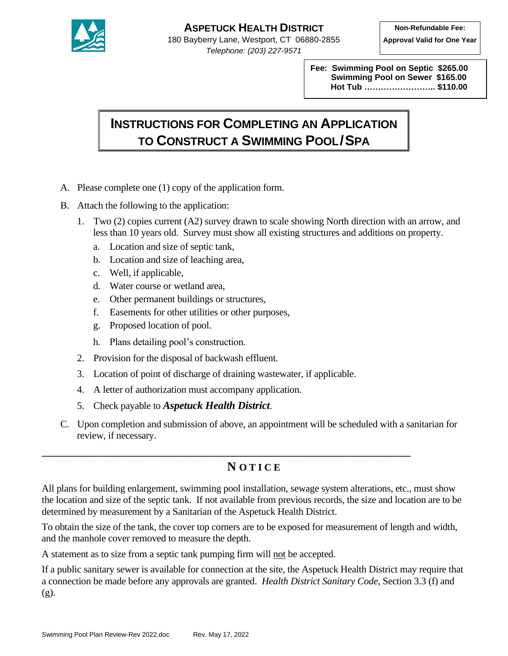

**Fee: Swimming Pool on Septic \$265.00 Swimming Pool on Sewer \$165.00 Hot Tub …………………….. \$110.00**

## **INSTRUCTIONS FOR COMPLETING AN APPLICATION TO CONSTRUCT A SWIMMING POOL/SPA**

- A. Please complete one (1) copy of the application form.
- B. Attach the following to the application:
	- 1. Two (2) copies current (A2) survey drawn to scale showing North direction with an arrow, and less than 10 years old. Survey must show all existing structures and additions on property.
		- a. Location and size of septic tank,
		- b. Location and size of leaching area,
		- c. Well, if applicable,
		- d. Water course or wetland area,
		- e. Other permanent buildings or structures,
		- f. Easements for other utilities or other purposes,
		- g. Proposed location of pool.
		- h. Plans detailing pool's construction.
	- 2. Provision for the disposal of backwash effluent.
	- 3. Location of point of discharge of draining wastewater, if applicable.

**\_\_\_\_\_\_\_\_\_\_\_\_\_\_\_\_\_\_\_\_\_\_\_\_\_\_\_\_\_\_\_\_\_\_\_\_\_\_\_\_\_\_\_\_\_\_\_\_\_\_\_\_\_\_\_\_\_\_\_\_\_\_\_\_\_\_\_\_\_\_\_\_\_\_\_\_**

- 4. A letter of authorization must accompany application.
- 5. Check payable to *Aspetuck Health District*.
- C. Upon completion and submission of above, an appointment will be scheduled with a sanitarian for review, if necessary.

## **N O T I C E**

All plans for building enlargement, swimming pool installation, sewage system alterations, etc., must show the location and size of the septic tank. If not available from previous records, the size and location are to be determined by measurement by a Sanitarian of the Aspetuck Health District.

To obtain the size of the tank, the cover top corners are to be exposed for measurement of length and width, and the manhole cover removed to measure the depth.

A statement as to size from a septic tank pumping firm will not be accepted.

If a public sanitary sewer is available for connection at the site, the Aspetuck Health District may require that a connection be made before any approvals are granted. *Health District Sanitary Code*, Section 3.3 (f) and (g).